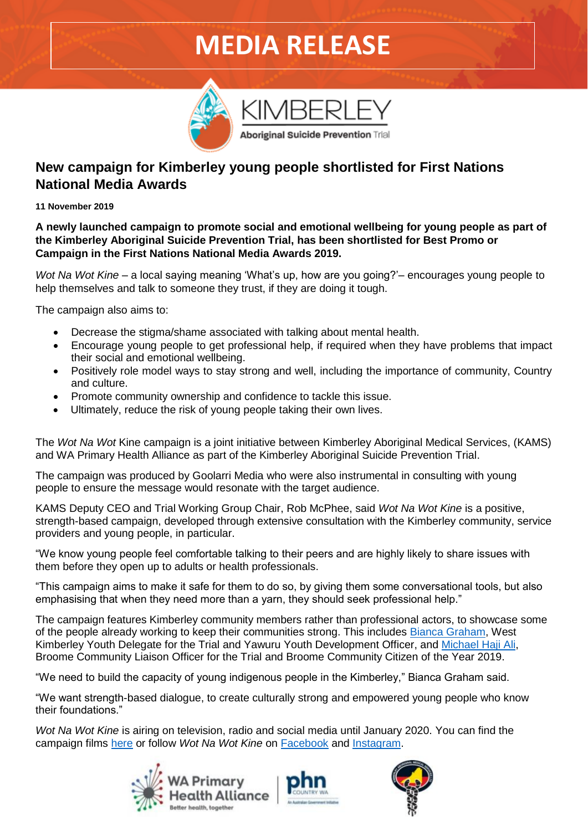## **MEDIA RELEASE**



Aboriginal Suicide Prevention Trial

### **New campaign for Kimberley young people shortlisted for First Nations National Media Awards**

**11 November 2019**

**A newly launched campaign to promote social and emotional wellbeing for young people as part of the Kimberley Aboriginal Suicide Prevention Trial, has been shortlisted for Best Promo or Campaign in the First Nations National Media Awards 2019.**

*Wot Na Wot Kine* – a local saying meaning 'What's up, how are you going?'– encourages young people to help themselves and talk to someone they trust, if they are doing it tough.

The campaign also aims to:

- Decrease the stigma/shame associated with talking about mental health.
- Encourage young people to get professional help, if required when they have problems that impact their social and emotional wellbeing.
- Positively role model ways to stay strong and well, including the importance of community, Country and culture.
- Promote community ownership and confidence to tackle this issue.
- Ultimately, reduce the risk of young people taking their own lives.

The *Wot Na Wot* Kine campaign is a joint initiative between Kimberley Aboriginal Medical Services, (KAMS) and WA Primary Health Alliance as part of the Kimberley Aboriginal Suicide Prevention Trial.

The campaign was produced by Goolarri Media who were also instrumental in consulting with young people to ensure the message would resonate with the target audience.

KAMS Deputy CEO and Trial Working Group Chair, Rob McPhee, said *Wot Na Wot Kine* is a positive, strength-based campaign, developed through extensive consultation with the Kimberley community, service providers and young people, in particular.

"We know young people feel comfortable talking to their peers and are highly likely to share issues with them before they open up to adults or health professionals.

"This campaign aims to make it safe for them to do so, by giving them some conversational tools, but also emphasising that when they need more than a yarn, they should seek professional help."

The campaign features Kimberley community members rather than professional actors, to showcase some of the people already working to keep their communities strong. This includes [Bianca Graham,](https://www.wapha.org.au/wot-na-wot-kine/bianca-graham-profile/) West Kimberley Youth Delegate for the Trial and Yawuru Youth Development Officer, and [Michael Haji Ali,](https://www.wapha.org.au/wot-na-wot-kine/michael-haji-ali-profile/) Broome Community Liaison Officer for the Trial and Broome Community Citizen of the Year 2019.

"We need to build the capacity of young indigenous people in the Kimberley," Bianca Graham said.

"We want strength-based dialogue, to create culturally strong and empowered young people who know their foundations."

*Wot Na Wot Kine* is airing on television, radio and social media until January 2020. You can find the campaign films [here](https://www.wapha.org.au/wot-na-wot-kine/) or follow *Wot Na Wot Kine* on [Facebook](https://www.facebook.com/Wot-Na-Wot-Kine-102083801165847/) and [Instagram.](https://www.instagram.com/wotnawotkine/?hl=en)